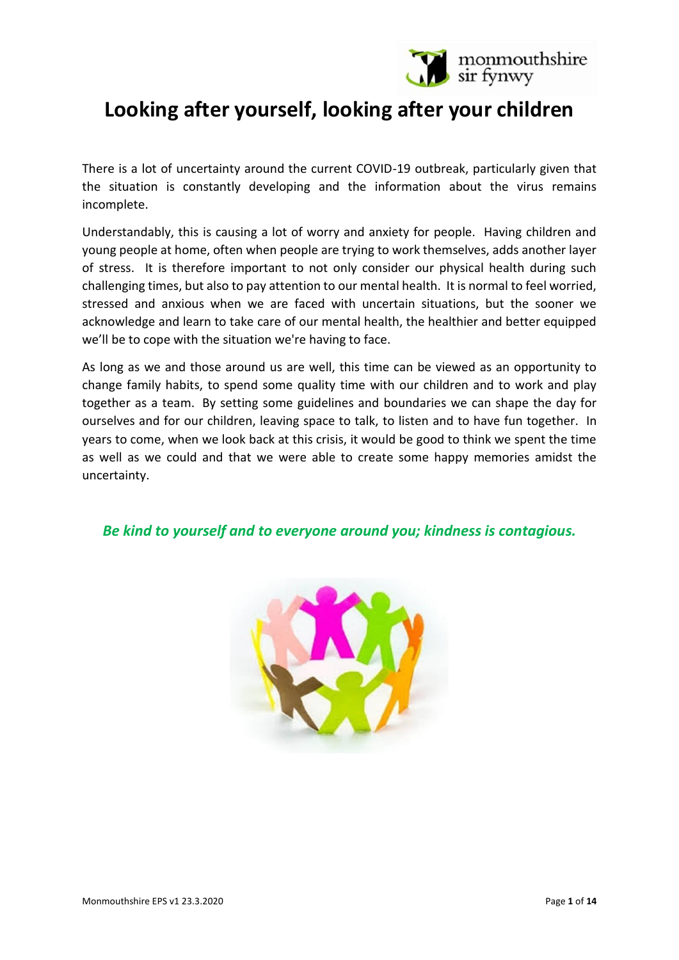

# **Looking after yourself, looking after your children**

There is a lot of uncertainty around the current COVID-19 outbreak, particularly given that the situation is constantly developing and the information about the virus remains incomplete.

Understandably, this is causing a lot of worry and anxiety for people. Having children and young people at home, often when people are trying to work themselves, adds another layer of stress. It is therefore important to not only consider our physical health during such challenging times, but also to pay attention to our mental health. It is normal to feel worried, stressed and anxious when we are faced with uncertain situations, but the sooner we acknowledge and learn to take care of our mental health, the healthier and better equipped we'll be to cope with the situation we're having to face.

As long as we and those around us are well, this time can be viewed as an opportunity to change family habits, to spend some quality time with our children and to work and play together as a team. By setting some guidelines and boundaries we can shape the day for ourselves and for our children, leaving space to talk, to listen and to have fun together. In years to come, when we look back at this crisis, it would be good to think we spent the time as well as we could and that we were able to create some happy memories amidst the uncertainty.

## *Be kind to yourself and to everyone around you; kindness is contagious.*

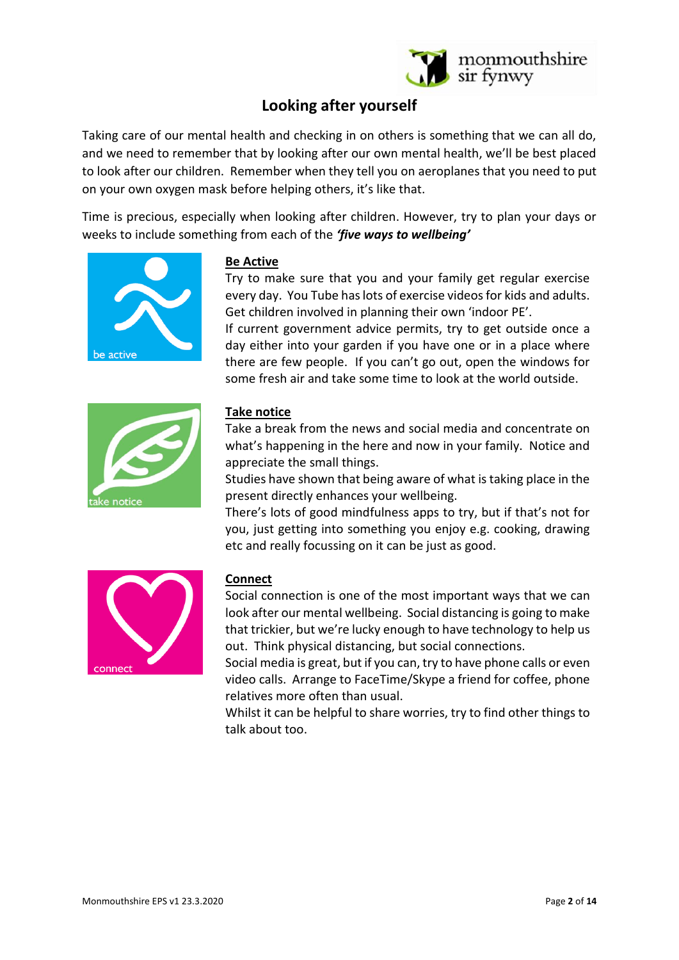

# **Looking after yourself**

Taking care of our mental health and checking in on others is something that we can all do, and we need to remember that by looking after our own mental health, we'll be best placed to look after our children. Remember when they tell you on aeroplanes that you need to put on your own oxygen mask before helping others, it's like that.

Time is precious, especially when looking after children. However, try to plan your days or weeks to include something from each of the *'five ways to wellbeing'*



### **Be Active**

Try to make sure that you and your family get regular exercise every day. You Tube has lots of exercise videos for kids and adults. Get children involved in planning their own 'indoor PE'.

If current government advice permits, try to get outside once a day either into your garden if you have one or in a place where there are few people. If you can't go out, open the windows for some fresh air and take some time to look at the world outside.



### **Take notice**

Take a break from the news and social media and concentrate on what's happening in the here and now in your family. Notice and appreciate the small things.

Studies have shown that being aware of what is taking place in the present directly enhances your wellbeing.

There's lots of good mindfulness apps to try, but if that's not for you, just getting into something you enjoy e.g. cooking, drawing etc and really focussing on it can be just as good.



## **Connect**

Social connection is one of the most important ways that we can look after our mental wellbeing. Social distancing is going to make that trickier, but we're lucky enough to have technology to help us out. Think physical distancing, but social connections.

Social media is great, but if you can, try to have phone calls or even video calls. Arrange to FaceTime/Skype a friend for coffee, phone relatives more often than usual.

Whilst it can be helpful to share worries, try to find other things to talk about too.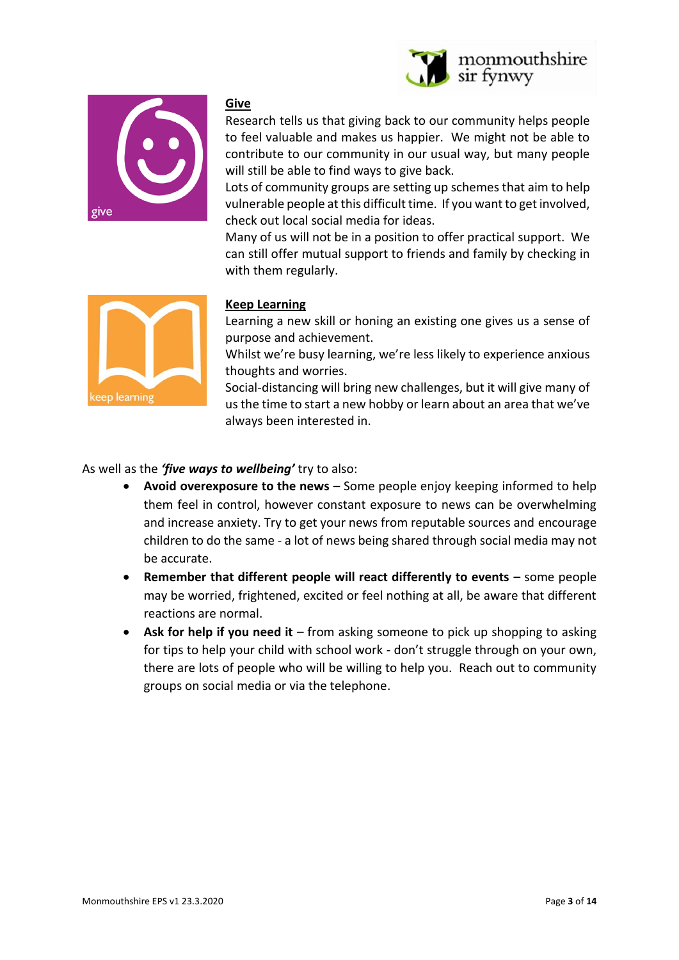



#### **Give**

Research tells us that giving back to our community helps people to feel valuable and makes us happier. We might not be able to contribute to our community in our usual way, but many people will still be able to find ways to give back.

Lots of community groups are setting up schemes that aim to help vulnerable people at this difficult time. If you want to get involved, check out local social media for ideas.

Many of us will not be in a position to offer practical support. We can still offer mutual support to friends and family by checking in with them regularly.



## **Keep Learning**

Learning a new skill or honing an existing one gives us a sense of purpose and achievement.

Whilst we're busy learning, we're less likely to experience anxious thoughts and worries.

Social-distancing will bring new challenges, but it will give many of us the time to start a new hobby or learn about an area that we've always been interested in.

As well as the *'five ways to wellbeing'* try to also:

- **Avoid overexposure to the news –** Some people enjoy keeping informed to help them feel in control, however constant exposure to news can be overwhelming and increase anxiety. Try to get your news from reputable sources and encourage children to do the same - a lot of news being shared through social media may not be accurate.
- **Remember that different people will react differently to events –** some people may be worried, frightened, excited or feel nothing at all, be aware that different reactions are normal.
- **Ask for help if you need it** from asking someone to pick up shopping to asking for tips to help your child with school work - don't struggle through on your own, there are lots of people who will be willing to help you. Reach out to community groups on social media or via the telephone.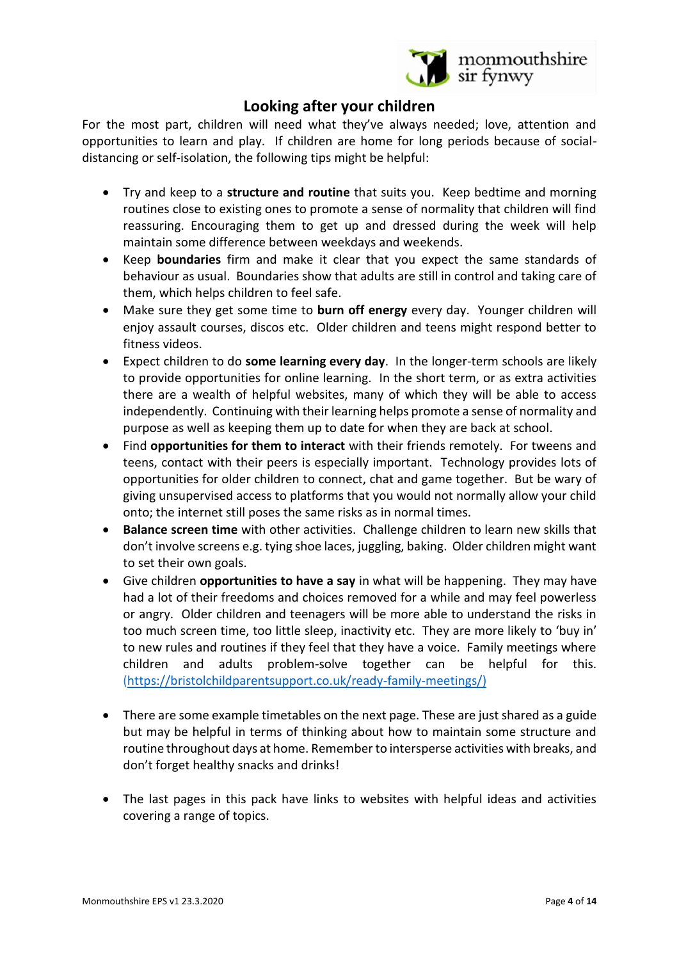

# **Looking after your children**

For the most part, children will need what they've always needed; love, attention and opportunities to learn and play. If children are home for long periods because of socialdistancing or self-isolation, the following tips might be helpful:

- Try and keep to a **structure and routine** that suits you. Keep bedtime and morning routines close to existing ones to promote a sense of normality that children will find reassuring. Encouraging them to get up and dressed during the week will help maintain some difference between weekdays and weekends.
- Keep **boundaries** firm and make it clear that you expect the same standards of behaviour as usual. Boundaries show that adults are still in control and taking care of them, which helps children to feel safe.
- Make sure they get some time to **burn off energy** every day. Younger children will enjoy assault courses, discos etc. Older children and teens might respond better to fitness videos.
- Expect children to do **some learning every day**. In the longer-term schools are likely to provide opportunities for online learning. In the short term, or as extra activities there are a wealth of helpful websites, many of which they will be able to access independently. Continuing with their learning helps promote a sense of normality and purpose as well as keeping them up to date for when they are back at school.
- Find **opportunities for them to interact** with their friends remotely. For tweens and teens, contact with their peers is especially important. Technology provides lots of opportunities for older children to connect, chat and game together. But be wary of giving unsupervised access to platforms that you would not normally allow your child onto; the internet still poses the same risks as in normal times.
- **Balance screen time** with other activities. Challenge children to learn new skills that don't involve screens e.g. tying shoe laces, juggling, baking. Older children might want to set their own goals.
- Give children **opportunities to have a say** in what will be happening. They may have had a lot of their freedoms and choices removed for a while and may feel powerless or angry. Older children and teenagers will be more able to understand the risks in too much screen time, too little sleep, inactivity etc. They are more likely to 'buy in' to new rules and routines if they feel that they have a voice. Family meetings where children and adults problem-solve together can be helpful for this. [\(https://bristolchildparentsupport.co.uk/ready-family-meetings/\)](https://bristolchildparentsupport.co.uk/ready-family-meetings/)
- There are some example timetables on the next page. These are just shared as a guide but may be helpful in terms of thinking about how to maintain some structure and routine throughout days at home. Remember to intersperse activities with breaks, and don't forget healthy snacks and drinks!
- The last pages in this pack have links to websites with helpful ideas and activities covering a range of topics.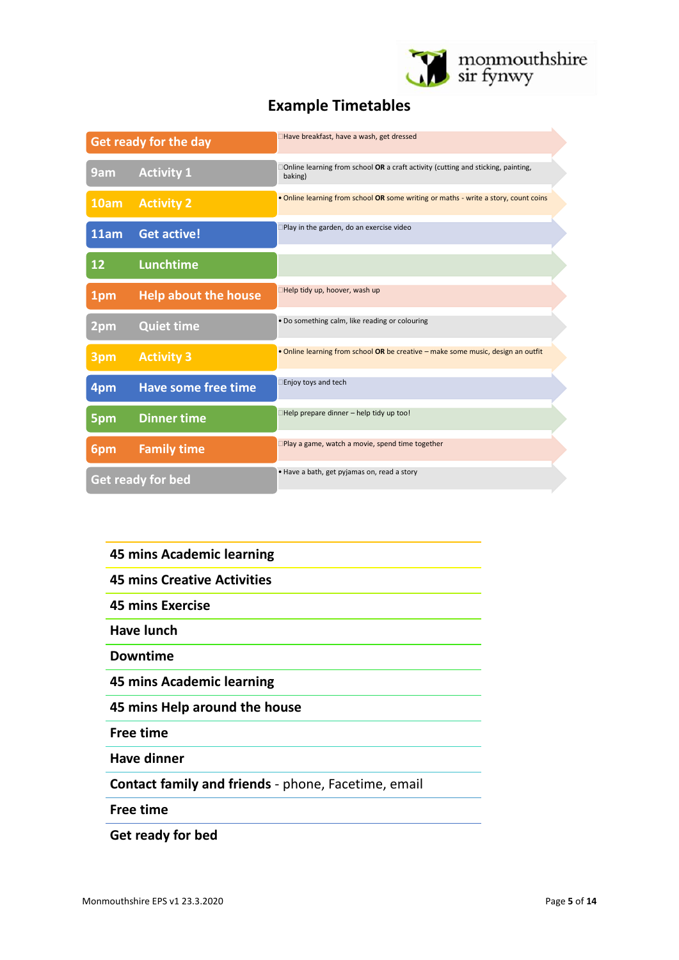

# **Example Timetables**

| Get ready for the day |                             | Have breakfast, have a wash, get dressed                                                    |
|-----------------------|-----------------------------|---------------------------------------------------------------------------------------------|
| 9am                   | <b>Activity 1</b>           | Online learning from school OR a craft activity (cutting and sticking, painting,<br>baking) |
| 10am                  | <b>Activity 2</b>           | . Online learning from school OR some writing or maths - write a story, count coins         |
| 11am                  | <b>Get active!</b>          | Play in the garden, do an exercise video                                                    |
| 12                    | <b>Lunchtime</b>            |                                                                                             |
| 1pm                   | <b>Help about the house</b> | Help tidy up, hoover, wash up                                                               |
| 2pm                   | <b>Quiet time</b>           | . Do something calm, like reading or colouring                                              |
| 3pm                   | <b>Activity 3</b>           | . Online learning from school OR be creative - make some music, design an outfit            |
| 4pm                   | <b>Have some free time</b>  | Enjoy toys and tech                                                                         |
| 5pm                   | <b>Dinner time</b>          | Help prepare dinner - help tidy up too!                                                     |
| 6pm                   | <b>Family time</b>          | Play a game, watch a movie, spend time together                                             |
| Get ready for bed     |                             | · Have a bath, get pyjamas on, read a story                                                 |

| <b>45 mins Academic learning</b>                    |  |  |
|-----------------------------------------------------|--|--|
| <b>45 mins Creative Activities</b>                  |  |  |
| <b>45 mins Exercise</b>                             |  |  |
| Have lunch                                          |  |  |
| <b>Downtime</b>                                     |  |  |
| 45 mins Academic learning                           |  |  |
| 45 mins Help around the house                       |  |  |
| <b>Free time</b>                                    |  |  |
| <b>Have dinner</b>                                  |  |  |
| Contact family and friends - phone, Facetime, email |  |  |
| <b>Free time</b>                                    |  |  |

**Get ready for bed**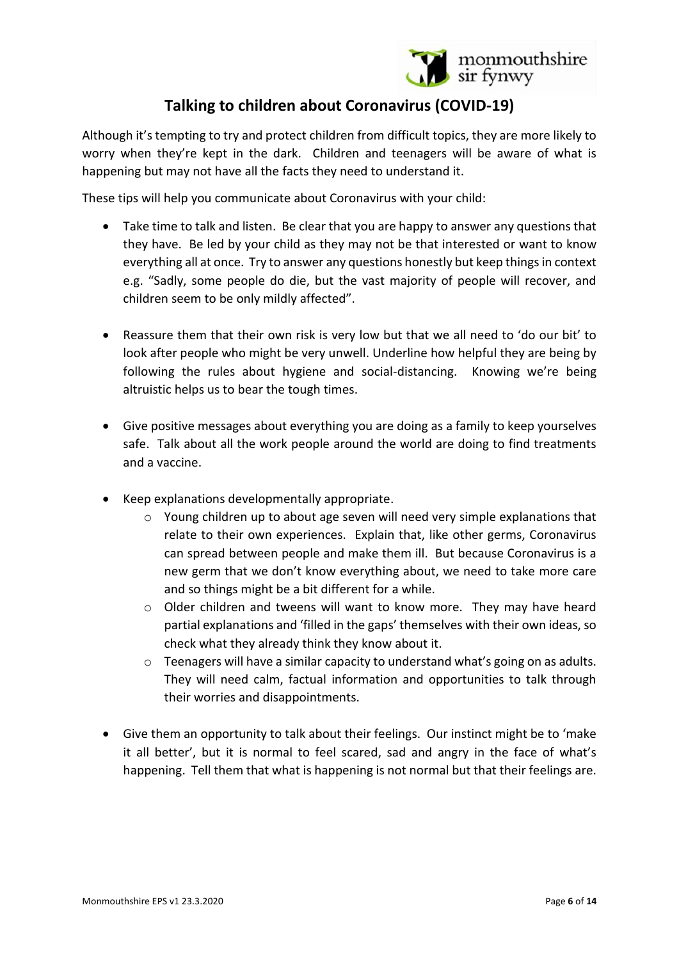

# **Talking to children about Coronavirus (COVID-19)**

Although it's tempting to try and protect children from difficult topics, they are more likely to worry when they're kept in the dark. Children and teenagers will be aware of what is happening but may not have all the facts they need to understand it.

These tips will help you communicate about Coronavirus with your child:

- Take time to talk and listen. Be clear that you are happy to answer any questions that they have. Be led by your child as they may not be that interested or want to know everything all at once. Try to answer any questions honestly but keep things in context e.g. "Sadly, some people do die, but the vast majority of people will recover, and children seem to be only mildly affected".
- Reassure them that their own risk is very low but that we all need to 'do our bit' to look after people who might be very unwell. Underline how helpful they are being by following the rules about hygiene and social-distancing. Knowing we're being altruistic helps us to bear the tough times.
- Give positive messages about everything you are doing as a family to keep yourselves safe. Talk about all the work people around the world are doing to find treatments and a vaccine.
- Keep explanations developmentally appropriate.
	- o Young children up to about age seven will need very simple explanations that relate to their own experiences. Explain that, like other germs, Coronavirus can spread between people and make them ill. But because Coronavirus is a new germ that we don't know everything about, we need to take more care and so things might be a bit different for a while.
	- $\circ$  Older children and tweens will want to know more. They may have heard partial explanations and 'filled in the gaps' themselves with their own ideas, so check what they already think they know about it.
	- $\circ$  Teenagers will have a similar capacity to understand what's going on as adults. They will need calm, factual information and opportunities to talk through their worries and disappointments.
- Give them an opportunity to talk about their feelings. Our instinct might be to 'make it all better', but it is normal to feel scared, sad and angry in the face of what's happening. Tell them that what is happening is not normal but that their feelings are.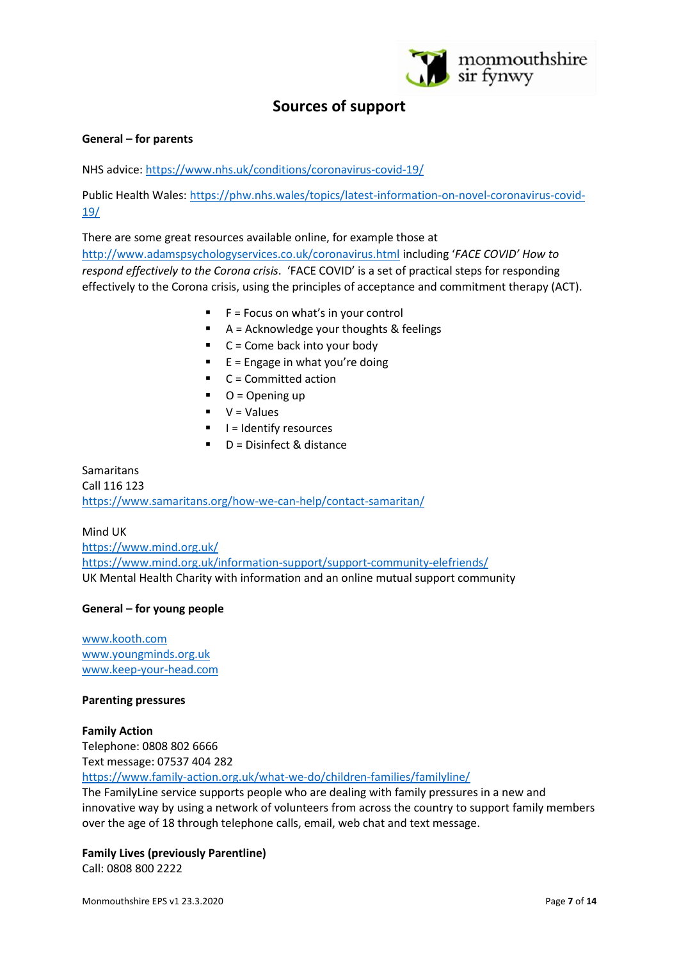

# **Sources of support**

#### **General – for parents**

NHS advice[: https://www.nhs.uk/conditions/coronavirus-covid-19/](https://www.nhs.uk/conditions/coronavirus-covid-19/)

Public Health Wales: [https://phw.nhs.wales/topics/latest-information-on-novel-coronavirus-covid-](https://phw.nhs.wales/topics/latest-information-on-novel-coronavirus-covid-19/)[19/](https://phw.nhs.wales/topics/latest-information-on-novel-coronavirus-covid-19/)

There are some great resources available online, for example those at <http://www.adamspsychologyservices.co.uk/coronavirus.html> including '*FACE COVID' How to respond effectively to the Corona crisis*. 'FACE COVID' is a set of practical steps for responding effectively to the Corona crisis, using the principles of acceptance and commitment therapy (ACT).

- $F =$  Focus on what's in your control
- A = Acknowledge your thoughts & feelings
- $C =$  Come back into your body
- $E =$  Engage in what you're doing
- $C =$  Committed action
- $O =$  Opening up
- $V = Values$
- $\blacksquare$   $\blacksquare$   $\blacksquare$  I = Identify resources
- $D =$  Disinfect & distance

Samaritans Call 116 123 <https://www.samaritans.org/how-we-can-help/contact-samaritan/>

Mind UK <https://www.mind.org.uk/> <https://www.mind.org.uk/information-support/support-community-elefriends/> UK Mental Health Charity with information and an online mutual support community

#### **General – for young people**

[www.kooth.com](http://www.kooth.com/) [www.youngminds.org.uk](http://www.youngminds.org.uk/) [www.keep-your-head.com](http://www.keep-your-head.com/)

#### **Parenting pressures**

#### **Family Action**

Telephone: 0808 802 6666 Text message: 07537 404 282 <https://www.family-action.org.uk/what-we-do/children-families/familyline/>

The FamilyLine service supports people who are dealing with family pressures in a new and innovative way by using a network o[f volunteers](https://www.family-action.org.uk/get-involved/volunteer/) from across the country to support family members over the age of 18 through telephone calls, email, web chat and text message.

#### **Family Lives (previously Parentline)**

Call: 0808 800 2222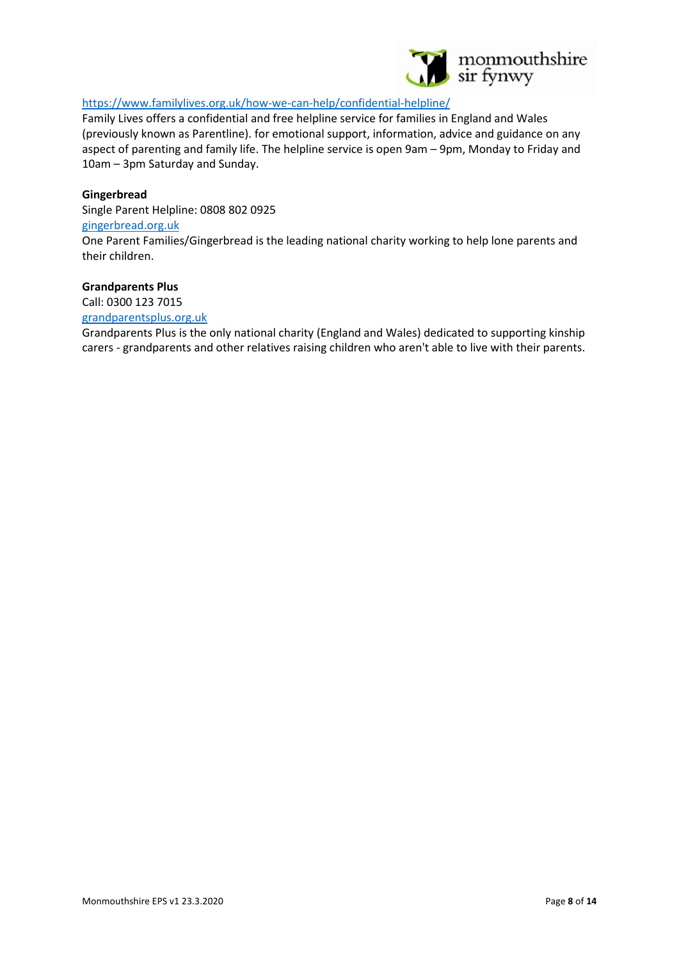

#### <https://www.familylives.org.uk/how-we-can-help/confidential-helpline/>

Family Lives offers a confidential and free helpline service for families in England and Wales (previously known as Parentline). for emotional support, information, advice and guidance on any aspect of parenting and family life. The helpline service is open 9am – 9pm, Monday to Friday and 10am – 3pm Saturday and Sunday.

#### **Gingerbread**

Single Parent Helpline: 0808 802 0925 [gingerbread.org.uk](http://www.gingerbread.org.uk/)

One Parent Families/Gingerbread is the leading national charity working to help lone parents and their children.

#### **Grandparents Plus**

Call: 0300 123 7015

[grandparentsplus.org.uk](http://www.grandparentsplus.org.uk/)

Grandparents Plus is the only national charity (England and Wales) dedicated to supporting kinship carers - grandparents and other relatives raising children who aren't able to live with their parents.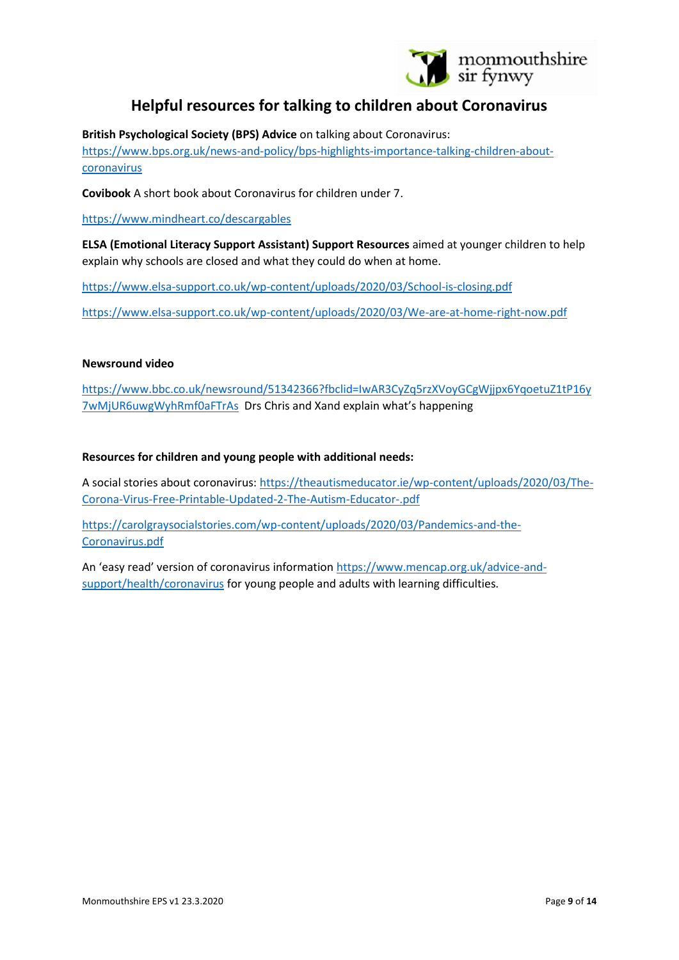

# **Helpful resources for talking to children about Coronavirus**

**British Psychological Society (BPS) Advice** on talking about Coronavirus:

[https://www.bps.org.uk/news-and-policy/bps-highlights-importance-talking-children-about](https://www.bps.org.uk/news-and-policy/bps-highlights-importance-talking-children-about-coronavirus)[coronavirus](https://www.bps.org.uk/news-and-policy/bps-highlights-importance-talking-children-about-coronavirus)

**Covibook** A short book about Coronavirus for children under 7.

<https://www.mindheart.co/descargables>

**ELSA (Emotional Literacy Support Assistant) Support Resources** aimed at younger children to help explain why schools are closed and what they could do when at home.

[https://www.elsa-support.co.uk/wp-content/uploads/2020/03/School-is-closing.pdf](https://eur03.safelinks.protection.outlook.com/?url=https%3A%2F%2Fwww.elsa-support.co.uk%2Fwp-content%2Fuploads%2F2020%2F03%2FSchool-is-closing.pdf&data=02%7C01%7CMorwennaWagstaff%40monmouthshire.gov.uk%7C239c2ba81b504c21a58708d7cff24a11%7C2c4d0079c52c4bb3b3cad8eaf1b6b7d5%7C0%7C1%7C637206513131075729&sdata=imqrIYSinR66PPXcHnyIrS%2F2yqnsymX9jh7%2B8xE37u0%3D&reserved=0)

[https://www.elsa-support.co.uk/wp-content/uploads/2020/03/We-are-at-home-right-now.pdf](https://eur03.safelinks.protection.outlook.com/?url=https%3A%2F%2Fwww.elsa-support.co.uk%2Fwp-content%2Fuploads%2F2020%2F03%2FWe-are-at-home-right-now.pdf&data=02%7C01%7CMorwennaWagstaff%40monmouthshire.gov.uk%7C239c2ba81b504c21a58708d7cff24a11%7C2c4d0079c52c4bb3b3cad8eaf1b6b7d5%7C0%7C1%7C637206513131085680&sdata=K345%2FfparV3gxqM0sq%2FCj5TN4bPf6nJUj4S58x79ic0%3D&reserved=0)

#### **Newsround video**

[https://www.bbc.co.uk/newsround/51342366?fbclid=IwAR3CyZq5rzXVoyGCgWjjpx6YqoetuZ1tP16y](https://www.bbc.co.uk/newsround/51342366?fbclid=IwAR3CyZq5rzXVoyGCgWjjpx6YqoetuZ1tP16y7wMjUR6uwgWyhRmf0aFTrAs) [7wMjUR6uwgWyhRmf0aFTrAs](https://www.bbc.co.uk/newsround/51342366?fbclid=IwAR3CyZq5rzXVoyGCgWjjpx6YqoetuZ1tP16y7wMjUR6uwgWyhRmf0aFTrAs) Drs Chris and Xand explain what's happening

#### **Resources for children and young people with additional needs:**

A social stories about coronavirus[: https://theautismeducator.ie/wp-content/uploads/2020/03/The-](https://theautismeducator.ie/wp-content/uploads/2020/03/The-Corona-Virus-Free-Printable-Updated-2-The-Autism-Educator-.pdf)[Corona-Virus-Free-Printable-Updated-2-The-Autism-Educator-.pdf](https://theautismeducator.ie/wp-content/uploads/2020/03/The-Corona-Virus-Free-Printable-Updated-2-The-Autism-Educator-.pdf)

[https://carolgraysocialstories.com/wp-content/uploads/2020/03/Pandemics-and-the-](https://carolgraysocialstories.com/wp-content/uploads/2020/03/Pandemics-and-the-Coronavirus.pdf)[Coronavirus.pdf](https://carolgraysocialstories.com/wp-content/uploads/2020/03/Pandemics-and-the-Coronavirus.pdf)

An 'easy read' version of coronavirus information [https://www.mencap.org.uk/advice-and](https://www.mencap.org.uk/advice-and-support/health/coronavirus)[support/health/coronavirus](https://www.mencap.org.uk/advice-and-support/health/coronavirus) for young people and adults with learning difficulties.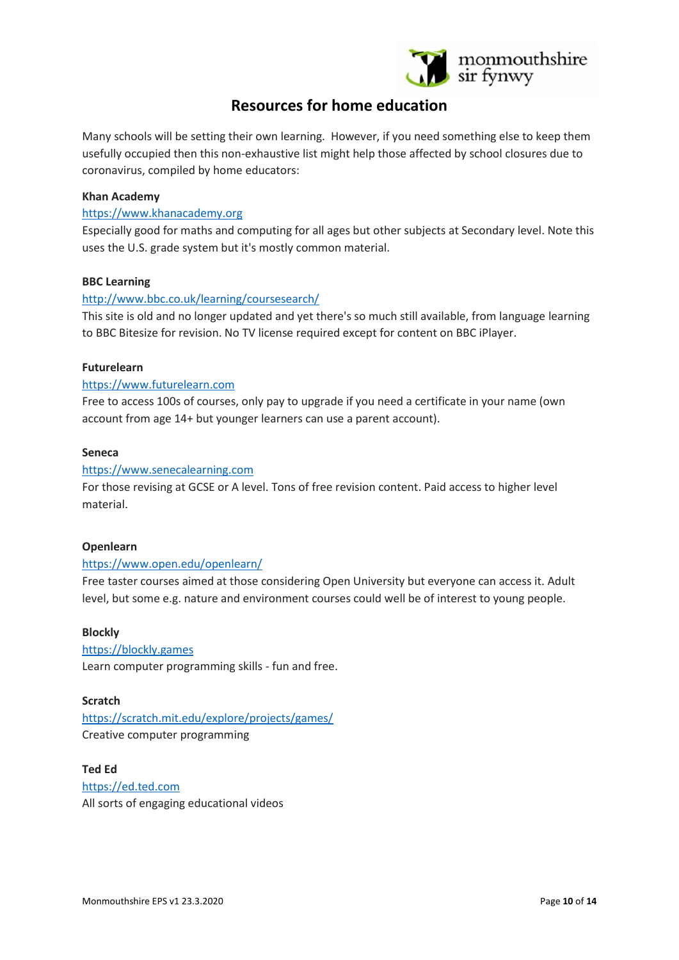

# **Resources for home education**

Many schools will be setting their own learning. However, if you need something else to keep them usefully occupied then this non-exhaustive list might help those affected by school closures due to coronavirus, compiled by home educators:

#### **Khan Academy**

#### [https://www.khanacademy.org](https://www.khanacademy.org/)

Especially good for maths and computing for all ages but other subjects at Secondary level. Note this uses the U.S. grade system but it's mostly common material.

#### **BBC Learning**

#### <http://www.bbc.co.uk/learning/coursesearch/>

This site is old and no longer updated and yet there's so much still available, from language learning to BBC Bitesize for revision. No TV license required except for content on BBC iPlayer.

#### **Futurelearn**

#### [https://www.futurelearn.com](https://www.futurelearn.com/)

Free to access 100s of courses, only pay to upgrade if you need a certificate in your name (own account from age 14+ but younger learners can use a parent account).

#### **Seneca**

#### [https://www.senecalearning.com](https://www.senecalearning.com/)

For those revising at GCSE or A level. Tons of free revision content. Paid access to higher level material.

#### **Openlearn**

#### <https://www.open.edu/openlearn/>

Free taster courses aimed at those considering Open University but everyone can access it. Adult level, but some e.g. nature and environment courses could well be of interest to young people.

#### **Blockly**

[https://blockly.games](https://blockly.games/) Learn computer programming skills - fun and free.

#### **Scratch**

<https://scratch.mit.edu/explore/projects/games/> Creative computer programming

**Ted Ed** [https://ed.ted.com](https://ed.ted.com/) All sorts of engaging educational videos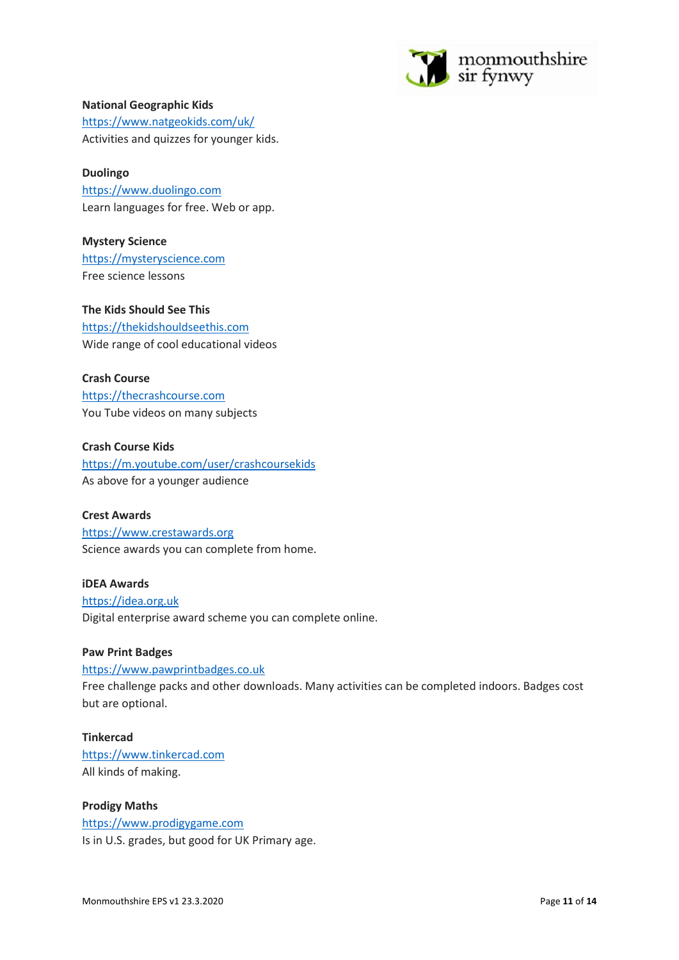

#### **National Geographic Kids**

<https://www.natgeokids.com/uk/> Activities and quizzes for younger kids.

#### **Duolingo**

[https://www.duolingo.com](https://www.duolingo.com/) Learn languages for free. Web or app.

**Mystery Science** [https://mysteryscience.com](https://mysteryscience.com/) Free science lessons

**The Kids Should See This** [https://thekidshouldseethis.com](https://thekidshouldseethis.com/) Wide range of cool educational videos

#### **Crash Course**

[https://thecrashcourse.com](https://thecrashcourse.com/) You Tube videos on many subjects

**Crash Course Kids** <https://m.youtube.com/user/crashcoursekids> As above for a younger audience

#### **Crest Awards**

[https://www.crestawards.org](https://www.crestawards.org/) Science awards you can complete from home.

**iDEA Awards** [https://idea.org.uk](https://idea.org.uk/) Digital enterprise award scheme you can complete online.

#### **Paw Print Badges**

[https://www.pawprintbadges.co.uk](https://www.pawprintbadges.co.uk/) Free challenge packs and other downloads. Many activities can be completed indoors. Badges cost but are optional.

**Tinkercad** [https://www.tinkercad.com](https://www.tinkercad.com/) All kinds of making.

**Prodigy Maths** [https://www.prodigygame.com](https://www.prodigygame.com/) Is in U.S. grades, but good for UK Primary age.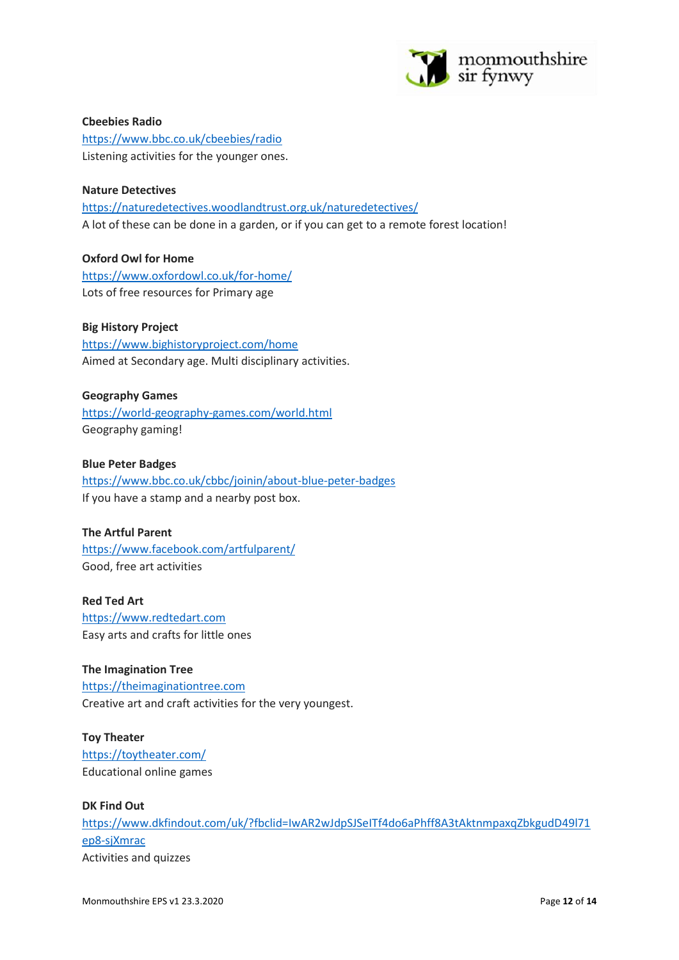

**Cbeebies Radio** <https://www.bbc.co.uk/cbeebies/radio> Listening activities for the younger ones.

## **Nature Detectives** <https://naturedetectives.woodlandtrust.org.uk/naturedetectives/> A lot of these can be done in a garden, or if you can get to a remote forest location!

**Oxford Owl for Home** <https://www.oxfordowl.co.uk/for-home/> Lots of free resources for Primary age

#### **Big History Project**

<https://www.bighistoryproject.com/home> Aimed at Secondary age. Multi disciplinary activities.

#### **Geography Games**

<https://world-geography-games.com/world.html> Geography gaming!

#### **Blue Peter Badges**

<https://www.bbc.co.uk/cbbc/joinin/about-blue-peter-badges> If you have a stamp and a nearby post box.

#### **The Artful Parent**

<https://www.facebook.com/artfulparent/> Good, free art activities

**Red Ted Art** [https://www.redtedart.com](https://www.redtedart.com/) Easy arts and crafts for little ones

#### **The Imagination Tree**

[https://theimaginationtree.com](https://theimaginationtree.com/) Creative art and craft activities for the very youngest.

**Toy Theater** <https://toytheater.com/> Educational online games

#### **DK Find Out**

[https://www.dkfindout.com/uk/?fbclid=IwAR2wJdpSJSeITf4do6aPhff8A3tAktnmpaxqZbkgudD49l71](https://www.dkfindout.com/uk/?fbclid=IwAR2wJdpSJSeITf4do6aPhff8A3tAktnmpaxqZbkgudD49l71ep8-sjXmrac) [ep8-sjXmrac](https://www.dkfindout.com/uk/?fbclid=IwAR2wJdpSJSeITf4do6aPhff8A3tAktnmpaxqZbkgudD49l71ep8-sjXmrac) Activities and quizzes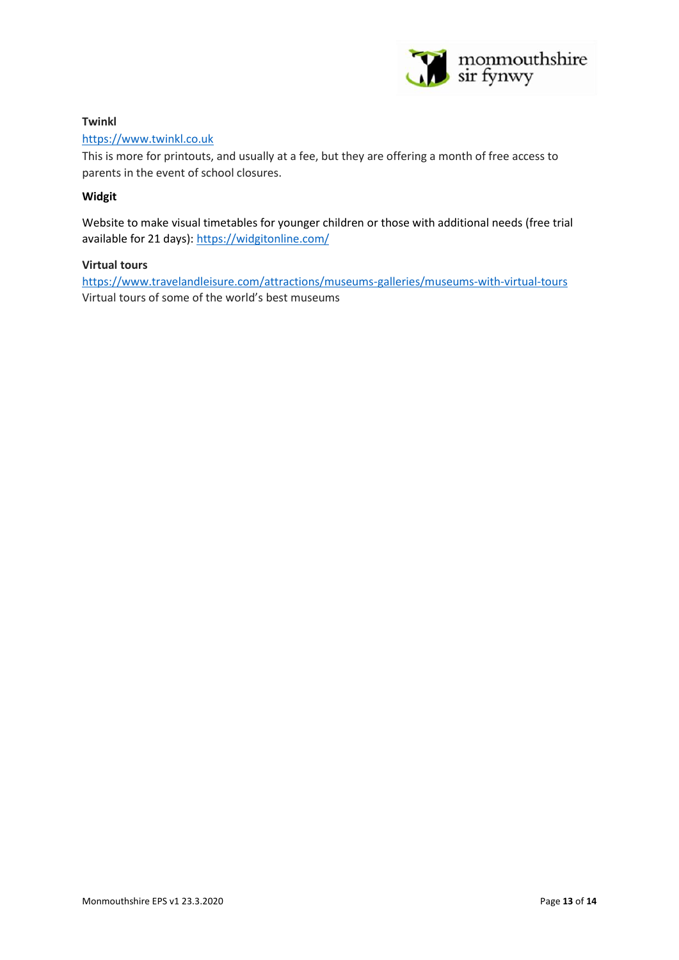

### **Twinkl**

### [https://www.twinkl.co.uk](https://www.twinkl.co.uk/)

This is more for printouts, and usually at a fee, but they are offering a month of free access to parents in the event of school closures.

### **Widgit**

Website to make visual timetables for younger children or those with additional needs (free trial available for 21 days):<https://widgitonline.com/>

#### **Virtual tours**

<https://www.travelandleisure.com/attractions/museums-galleries/museums-with-virtual-tours> Virtual tours of some of the world's best museums